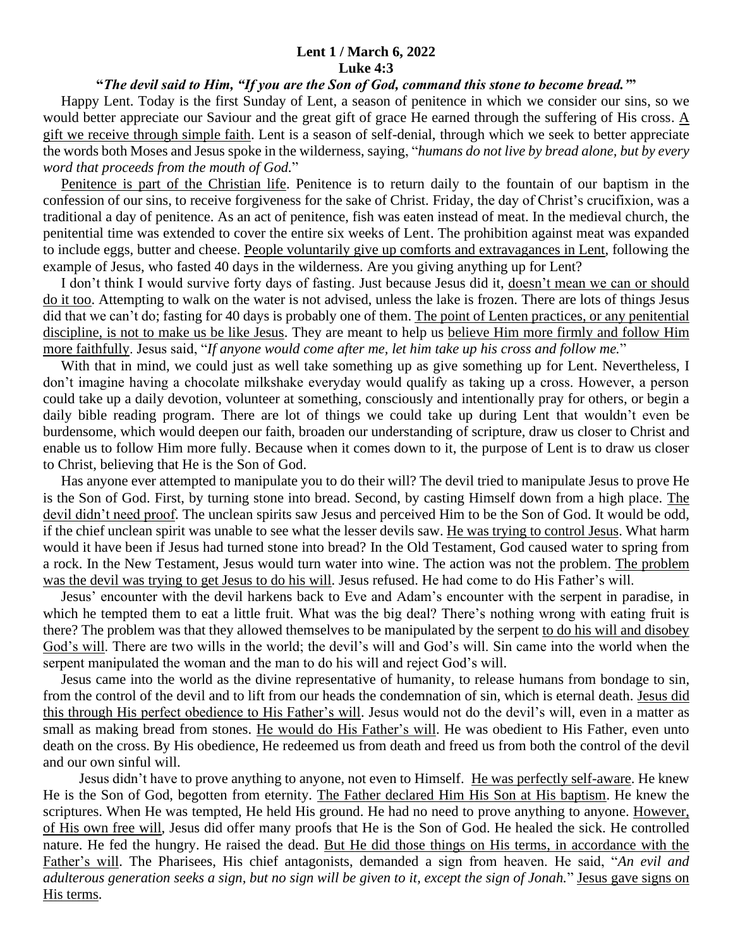## **Lent 1 / March 6, 2022 Luke 4:3**

## **"***The devil said to Him, "If you are the Son of God, command this stone to become bread.'***"**

 Happy Lent. Today is the first Sunday of Lent, a season of penitence in which we consider our sins, so we would better appreciate our Saviour and the great gift of grace He earned through the suffering of His cross.  $\underline{A}$ gift we receive through simple faith. Lent is a season of self-denial, through which we seek to better appreciate the words both Moses and Jesus spoke in the wilderness, saying, "*humans do not live by bread alone, but by every word that proceeds from the mouth of God.*"

 Penitence is part of the Christian life. Penitence is to return daily to the fountain of our baptism in the confession of our sins, to receive forgiveness for the sake of Christ. Friday, the day of Christ's crucifixion, was a traditional a day of penitence. As an act of penitence, fish was eaten instead of meat. In the medieval church, the penitential time was extended to cover the entire six weeks of Lent. The prohibition against meat was expanded to include eggs, butter and cheese. People voluntarily give up comforts and extravagances in Lent, following the example of Jesus, who fasted 40 days in the wilderness. Are you giving anything up for Lent?

 I don't think I would survive forty days of fasting. Just because Jesus did it, doesn't mean we can or should do it too. Attempting to walk on the water is not advised, unless the lake is frozen. There are lots of things Jesus did that we can't do; fasting for 40 days is probably one of them. The point of Lenten practices, or any penitential discipline, is not to make us be like Jesus. They are meant to help us believe Him more firmly and follow Him more faithfully. Jesus said, "*If anyone would come after me, let him take up his cross and follow me.*"

With that in mind, we could just as well take something up as give something up for Lent. Nevertheless, I don't imagine having a chocolate milkshake everyday would qualify as taking up a cross. However, a person could take up a daily devotion, volunteer at something, consciously and intentionally pray for others, or begin a daily bible reading program. There are lot of things we could take up during Lent that wouldn't even be burdensome, which would deepen our faith, broaden our understanding of scripture, draw us closer to Christ and enable us to follow Him more fully. Because when it comes down to it, the purpose of Lent is to draw us closer to Christ, believing that He is the Son of God.

 Has anyone ever attempted to manipulate you to do their will? The devil tried to manipulate Jesus to prove He is the Son of God. First, by turning stone into bread. Second, by casting Himself down from a high place. The devil didn't need proof. The unclean spirits saw Jesus and perceived Him to be the Son of God. It would be odd, if the chief unclean spirit was unable to see what the lesser devils saw. He was trying to control Jesus. What harm would it have been if Jesus had turned stone into bread? In the Old Testament, God caused water to spring from a rock. In the New Testament, Jesus would turn water into wine. The action was not the problem. The problem was the devil was trying to get Jesus to do his will. Jesus refused. He had come to do His Father's will.

 Jesus' encounter with the devil harkens back to Eve and Adam's encounter with the serpent in paradise, in which he tempted them to eat a little fruit. What was the big deal? There's nothing wrong with eating fruit is there? The problem was that they allowed themselves to be manipulated by the serpent to do his will and disobey God's will. There are two wills in the world; the devil's will and God's will. Sin came into the world when the serpent manipulated the woman and the man to do his will and reject God's will.

 Jesus came into the world as the divine representative of humanity, to release humans from bondage to sin, from the control of the devil and to lift from our heads the condemnation of sin, which is eternal death. Jesus did this through His perfect obedience to His Father's will. Jesus would not do the devil's will, even in a matter as small as making bread from stones. He would do His Father's will. He was obedient to His Father, even unto death on the cross. By His obedience, He redeemed us from death and freed us from both the control of the devil and our own sinful will.

 Jesus didn't have to prove anything to anyone, not even to Himself. He was perfectly self-aware. He knew He is the Son of God, begotten from eternity. The Father declared Him His Son at His baptism. He knew the scriptures. When He was tempted, He held His ground. He had no need to prove anything to anyone. However, of His own free will, Jesus did offer many proofs that He is the Son of God. He healed the sick. He controlled nature. He fed the hungry. He raised the dead. But He did those things on His terms, in accordance with the Father's will. The Pharisees, His chief antagonists, demanded a sign from heaven. He said, "*An evil and adulterous generation seeks a sign, but no sign will be given to it, except the sign of Jonah.*" Jesus gave signs on His terms.